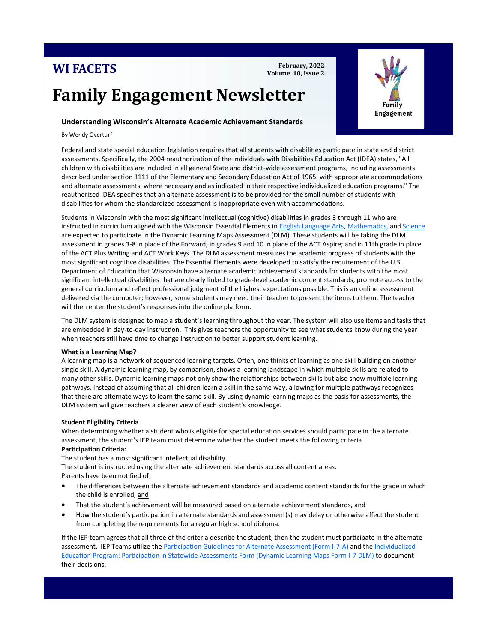# **WI FACETS**

**February, 2022 Volume 10, Issue 2**

# **Family Engagement Newsletter**

# **Understanding Wisconsin's Alternate Academic Achievement Standards**

By Wendy Overturf

Federal and state special education legislation requires that all students with disabilities participate in state and district assessments. Specifically, the 2004 reauthorization of the Individuals with Disabilities Education Act (IDEA) states, "All children with disabilities are included in all general State and district-wide assessment programs, including assessments described under section 1111 of the Elementary and Secondary Education Act of 1965, with appropriate accommodations and alternate assessments, where necessary and as indicated in their respective individualized education programs." The reauthorized IDEA specifies that an alternate assessment is to be provided for the small number of students with disabilities for whom the standardized assessment is inappropriate even with accommodations.

Students in Wisconsin with the most significant intellectual (cognitive) disabilities in grades 3 through 11 who are instructed in curriculum aligned with the Wisconsin Essential Elements in [English Language Arts,](https://dpi.wi.gov/sites/default/files/imce/sped/pdf/dpi-ee-ela.pdf) [Mathematics,](https://dpi.wi.gov/sites/default/files/imce/sped/pdf/dpi-ee-mathematics.pdf) and [Science](https://dpi.wi.gov/sites/default/files/imce/sped/pdf/dpi-ee-science.pdf) are expected to participate in the Dynamic Learning Maps Assessment (DLM). These students will be taking the DLM assessment in grades 3-8 in place of the Forward; in grades 9 and 10 in place of the ACT Aspire; and in 11th grade in place of the ACT Plus Writing and ACT Work Keys. The DLM assessment measures the academic progress of students with the most significant cognitive disabilities. The Essential Elements were developed to satisfy the requirement of the U.S. Department of Education that Wisconsin have alternate academic achievement standards for students with the most significant intellectual disabilities that are clearly linked to grade-level academic content standards, promote access to the general curriculum and reflect professional judgment of the highest expectations possible. This is an online assessment delivered via the computer; however, some students may need their teacher to present the items to them. The teacher will then enter the student's responses into the online platform.

The DLM system is designed to map a student's learning throughout the year. The system will also use items and tasks that are embedded in day-to-day instruction. This gives teachers the opportunity to see what students know during the year when teachers still have time to change instruction to better support student learning**.**

## **What is a Learning Map?**

A learning map is a network of sequenced learning targets. Often, one thinks of learning as one skill building on another single skill. A dynamic learning map, by comparison, shows a learning landscape in which multiple skills are related to many other skills. Dynamic learning maps not only show the relationships between skills but also show multiple learning pathways. Instead of assuming that all children learn a skill in the same way, allowing for multiple pathways recognizes that there are alternate ways to learn the same skill. By using dynamic learning maps as the basis for assessments, the DLM system will give teachers a clearer view of each student's knowledge.

#### **Student Eligibility Criteria**

When determining whether a student who is eligible for special education services should participate in the alternate assessment, the student's IEP team must determine whether the student meets the following criteria. **Participation Criteria:**

 $\overline{a}$ 

The student has a [most significant intellectual disability.](https://dpi.wi.gov/sped/program/students-most-significant-cognitive-disabilities)

The student is instructed using the alternate achievement standards across all content areas. Parents have been notified of:

- The differences between the alternate achievement standards and academic content standards for the grade in which the child is enrolled, and
- That the student's achievement will be measured based on alternate achievement standards, and
- How the student's participation in alternate standards and assessment(s) may delay or otherwise affect the student from completing the requirements for a regular high school diploma.

If the IEP team agrees that all three of the criteria describe the student, then the student must participate in the alternate assessment. IEP Teams utilize the [Participation Guidelines for Alternate Assessment \(Form I](https://dpi.wi.gov/sites/default/files/imce/sped/doc/form-i-7-a.doc)-7-A) and the [Individualized](https://dpi.wi.gov/sites/default/files/imce/sped/doc/form-i-7-dlm.doc)  [Education Program: Participation in Statewide Assessments Form \(Dynamic Learning Maps Form I](https://dpi.wi.gov/sites/default/files/imce/sped/doc/form-i-7-dlm.doc)-7 DLM) to document their decisions.

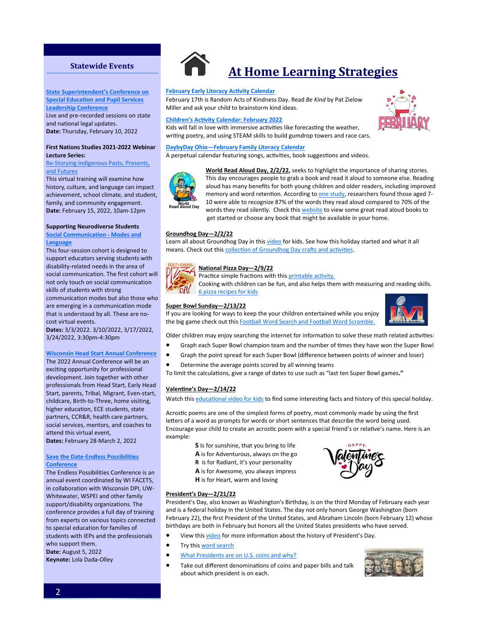# **Statewide Events**

**State Superintendent's Conference on Special Education and Pupil Services [Leadership Conference](https://dpi.wi.gov/sped/educators/consultation/leadership/fall-leadership-conference) who care for the property who care for the state of the state of the state of the state of the state of the state of the state of the state of the state of the state of the state of the state of th** Live and pre-recorded sessions on state and national legal updates.

**Date:** Thursday, February 10, 2022

# **[Autism Society of Wisconsin](https://www.asw4autism.org/event-cal/30th-annual-conference/)'s 30th Lecture Series: First Nations Studies 2021-2022 Webinar**

#### **Re-Storying Indigenous Pasts, Presents,** <u>and rutures</u><br>This relevant is a set the contract of [and Futures](https://login.myquickreg.com/register/event/event.cfm?eventid=30301)

This virtual training will examine how<br>... mstory, curture, and language can impact<br>achievement, school climate, and student, family, and community engagement. nate: Eebruary 15, 2022<br>Date: Eebruary 15, 2022 **Date:** February 15, 2022, 10am-12pm history, culture, and language can impact

# **Supporting Neurodiverse Students**

**[Social Communication](https://cesa1.app.neoncrm.com/np/clients/cesa1/event.jsp?event=2784&) - Modes and [Language](https://cesa1.app.neoncrm.com/np/clients/cesa1/event.jsp?event=2784&)**

This four-session cohort is designed to [support educa](http://www.uww.edu/ce/camps/additional/ecc)tors serving students with disability-related needs in the area of social communication. The first cohort will not only touch on social communication skills of students with strong **Early Childhood Early Childhood Early Childhood Early Childhood Early Childhood** communication modes but also those who are emerging in a communication mode that is understood by all. These are nocost virtual events.

information sharing, hands on activities, **Dates:** 3/3/2022. 3/10/2022, 3/17/2022, 3/24/2022, 3:30pm-4:30pm

#### **Wisconsin Head Start Annual Conference**

The 2022 Annual Conference will be an exciting opportunity for professional development. Join together with other professionals from Head Start, Early Head Start, parents, Tribal, Migrant, Even-start, childcare, Birth-to-Three, home visiting, partners, CCR&R, health care partners, social services, mentors, and coaches to attend this virtual event, who have who have the **Dates:** February 28-March 2, 2022 higher education, ECE students, state

## **Save the Date-Endless Possibilities Location:** Holiday Inn – Convention **[Conference](https://wifacets.org/training/endless-possibilities)**

The Endless Possibilities Conference is an **2019 Endless Possibilities Conference:**  in collaboration with Wisconsin DPI, UW-Whitewater, WSPEI and other family support/disability organizations. The conference provides a full day of training 2, *Transforming the Impossible to*  to special education for families of *Possible—Journey from Special Education*  students with IEPs and the professionals who support them.  $\overline{\phantom{a}}$ **Date:** August 5, 2022 annual event coordinated by WI FACETS, from experts on various topics connected

Keynote: Lola Dada-Olley

# **At Home Learning Strategies**

#### **[February Early Literacy Activity Calendar](https://ideas.demco.com/blog/early-literacy-activity-calendar-february-2022/)**

February 17th is Random Acts of Kindness Day. Read *Be Kind* by Pat Zielow Miller and ask your child to brainstorm kind ideas.

#### **Children'[s Activity Calendar: February 2022](https://ideas.demco.com/blog/childrens-activity-calendar-february-2022/?sfw=pass1642688384)**

Kids will fall in love with immersive activities like forecasting the weather, writing poetry, and using STEAM skills to build gumdrop towers and race cars.

#### **[DaybyDay Ohio—February Family Literacy Calendar](https://www.daybydayoh.org/february)**

A perpetual calendar featuring songs, activities, book suggestions and videos.



**World Read Aloud Day, 2/2/22,** seeks to highlight the importance of sharing stories. This day encourages people to grab a book and read it aloud to someone else. Reading aloud has many benefits for both young children and older readers, including improved memory and word retention. According to [one study,](https://www.bbc.com/future/article/20200917-the-surprising-power-of-reading-aloud) researchers found those aged 7-10 were able to recognize 87% of the words they read aloud compared to 70% of the words they read silently. Check this [website](https://www.youtube.com/channel/UCOvpot8bkb2POTZ8HfjgQIw) to view some great read aloud books to get started or choose any book that might be available in your home.

#### **Groundhog Day—2/2/22**

Learn all about Groundhog Day in this [video](https://www.youtube.com/watch?v=3fPXCWFAFTI) for kids. See how this holiday started and what it all means. Check out this [collection of Groundhog Day crafts and activities.](https://www.allkidsnetwork.com/crafts/groundhog-day/)



# **National Pizza Day—2/9/22**

Practice simple fractions with this [printable activity.](https://www.melissaanddoug.com/on/demandware.static/-/Sites-melissaanddoug-Library/default/dw077a1ca6/emailAssets/20210209_NationalPizzaDay_Printables_03_ADA.pdf)

Cooking with children can be fun, and also helps them with measuring and reading skills. [6 pizza recipes for kids](https://lingokids.com/blog/posts/pizza-day)

#### **Super Bowl Sunday—2/13/22**

If you are looking for ways to keep the your children entertained while you enjoy the big game check out this [Football Word Search and Football Word Scramble.](http://bloggingbabiesandthebayou.com/big-game-activties-for-children-kid-football-printables/)



Older children may enjoy searching the internet for information to solve these math related activities:

- Graph each Super Bowl champion team and the number of times they have won the Super Bowl
- Graph the point spread for each Super Bowl (difference between points of winner and loser)
- Determine the average points scored by all winning teams
- To limit the calculations, give a range of dates to use such as "last ten Super Bowl games**."**

#### **Valentine's Day—2/14/22**

Watch this [educational video for kids](https://www.youtube.com/watch?v=ZEN4daDfgmY) to find some interesting facts and history of this special holiday.

Acrostic poems are one of the simplest forms of poetry, most commonly made by using the first letters of a word as prompts for words or short sentences that describe the word being used. Encourage your child to create an acrostic poem with a special friend's or relative's name. Here is an example:

- **S** Is for sunshine, that you bring to life
- **A** is for Adventurous, always on the go
- **R** is for Radiant, it's your personality
- **A** is for Awesome, you always impress
- **H** is for Heart, warm and loving



President's Day, also known as Washington's Birthday, is on the third Monday of February each year and is a federal holiday in the United States. The day not only honors George Washington (born February 22), the first President of the United States, and Abraham Lincoln (born February 12) whose birthdays are both in February but honors all the United States presidents who have served.

- View this *video* for more information about the history of President's Day.
- Try this [word search](https://www.dltk-kids.com/t.asp?t=https://www.dltk-kids.com/usa/images/b-wordsearch-presidents.gif)

**President's Day—2/21/22**

- [What Presidents are on U.S. coins and why?](https://www.usmoneyreserve.com/blog/presidents-on-coins/)
- Take out different denominations of coins and paper bills and talk about which president is on each.



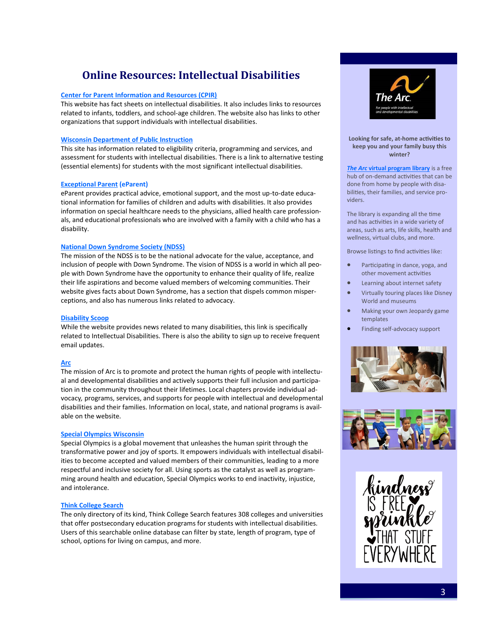# **Online Resources: Intellectual Disabilities**

# **[Center for Parent Information and Resources \(CPIR\)](http://www.parentcenterhub.org/intellectual/)**

This website has fact sheets on intellectual disabilities. It also includes links to resources related to infants, toddlers, and school-age children. The website also has links to other organizations that support individuals with intellectual disabilities.

# **[Wisconsin Department of Public Instruction](https://dpi.wi.gov/sped/program/intellectual-disabilities)**

This site has information related to eligibility criteria, programming and services, and assessment for students with intellectual disabilities. There is a link to alternative testing (essential elements) for students with the most significant intellectual disabilities.

# **[Exceptional Parent](http://www.eparent.com/) (eParent)**

eParent provides practical advice, emotional support, and the most up-to-date educational information for families of children and adults with disabilities. It also provides information on special healthcare needs to the physicians, allied health care professionals, and educational professionals who are involved with a family with a child who has a disability.

# **[National Down Syndrome Society \(NDSS\)](http://www.ndss.org/about-down-syndrome/down-syndrome/)**

The mission of the NDSS is to be the national advocate for the value, acceptance, and inclusion of people with Down Syndrome. The vision of NDSS is a world in which all people with Down Syndrome have the opportunity to enhance their quality of life, realize their life aspirations and become valued members of welcoming communities. Their website gives facts about Down Syndrome, has a section that dispels common misperceptions, and also has numerous links related to advocacy.

# **[Disability Scoop](https://www.disabilityscoop.com/intellectual-disability/)**

While the website provides news related to many disabilities, this link is specifically related to Intellectual Disabilities. There is also the ability to sign up to receive frequent email updates.

# **[Arc](http://www.thearc.org/page.aspx?pid=2530)**

The mission of Arc is to promote and protect the human rights of people with intellectual and developmental disabilities and actively supports their full inclusion and participation in the community throughout their lifetimes. Local chapters provide individual advocacy*,* programs, services, and supports for people with intellectual and developmental disabilities and their families. Information on local, state, and national programs is available on the website.

# **[Special Olympics Wisconsin](https://www.specialolympicswisconsin.org/)**

Special Olympics is a global movement that unleashes the human spirit through the transformative power and joy of sports. It empowers individuals with intellectual disabilities to become accepted and valued members of their communities, leading to a more respectful and inclusive society for all. Using sports as the catalyst as well as programming around health and education, Special Olympics works to end inactivity, injustice, and intolerance.

# **[Think College Search](https://thinkcollege.net/college-search)**

The only directory of its kind, Think College Search features 308 colleges and universities that offer postsecondary education programs for students with intellectual disabilities. Users of this searchable online database can filter by state, length of program, type of school, options for living on campus, and more.



### **Looking for safe, at-home activities to keep you and your family busy this winter?**

*The Arc* **[virtual program library](https://programlibrary.thearc.org/?utm_source=cc&utm_medium=email&utm_campaign=cfp)** is a free hub of on-demand activities that can be done from home by people with disabilities, their families, and service providers.

The library is expanding all the time and has activities in a wide variety of areas, such as arts, life skills, health and wellness, virtual clubs, and more.

Browse listings to find activities like:

- Participating in dance, yoga, and other movement activities
- Learning about internet safety
- Virtually touring places like Disney World and museums
- Making your own Jeopardy game templates
- Finding self-advocacy support





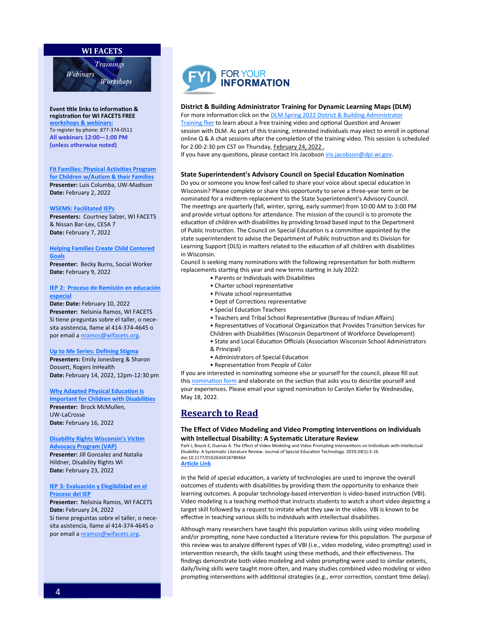# **WI FACETS**



**Event title links to information [&](http://www.wifacets.org/events)  registration for WI FACETS FREE [workshops & webinars:](http://www.wifacets.org/events)**  To register by phone: 877-374-0511 **All webinars 12:00—1:00 PM (unless otherwise noted)**

**[Fit Families: Physical Activities Program](https://wifacets.org/events/event/fit-families-physical-activities-program-children-wautism-their-families)  [for Children w/Autism & their Families](https://wifacets.org/events/event/fit-families-physical-activities-program-children-wautism-their-families) Presenter:** Luis Columba, UW-Madison **Date:** February 2, 2022

**[WSEMS: Facilitated IEPs](https://wifacets.org/events/event/wsems-facilitated-ieps-6)**

**Presenters:** Courtney Salzer, WI FACETS & Nissan Bar-Lev, CESA 7 **Date:** February 7, 2022

#### **[Helping Families Create Child Centered](https://wifacets.org/events/event/helping-families-create-child-centered-goals)  [Goals](https://wifacets.org/events/event/helping-families-create-child-centered-goals)**

**Presenter:** Becky Burns, Social Worker **Date:** February 9, 2022

### **[IEP 2: Proceso de Remisión en educación](https://wifacets.org/events/event/iep-2-proceso-de-remisi%C3%B3n-en-educaci%C3%B3n-especial-%E2%80%93)  [especial](https://wifacets.org/events/event/iep-2-proceso-de-remisi%C3%B3n-en-educaci%C3%B3n-especial-%E2%80%93)**

**Date: Date:** February 10, 2022 **Presenter:** Nelsinia Ramos, WI FACETS Si tiene preguntas sobre el taller, o necesita asistencia, llame al 414-374-4645 o por email a [nramos@wifacets.org.](mailto:nramos@wifacets.org)

#### **[Up to Me Series: Defining Stigma](https://wifacets.org/events/event/me-series-defining-stigma)**

**Presenters:** Emily Jonesberg & Sharon Dossett, Rogers InHealth **Date:** February 14, 2022, 12pm-12:30 pm

#### **[Why Adapted Physical Education is](https://wifacets.org/events/event/why-adapted-physical-education-important-children-disabilities)**

**[Important for Children with Disabilities](https://wifacets.org/events/event/why-adapted-physical-education-important-children-disabilities) Presenter:** Brock McMullen, UW-LaCrosse **Date:** February 16, 2022

### **[Disability Rights Wisconsin's Victim](https://wifacets.org/events/event/disability-rights-wisconsins-victim-advocacy-program-vap)**

**[Advocacy Program \(VAP\)](https://wifacets.org/events/event/disability-rights-wisconsins-victim-advocacy-program-vap) Presenter:** Jill Gonzalez and Natalia Hildner, Disability Rights WI **Date:** February 23, 2022

### **[IEP 3: Evaluación y Elegibilidad en el](https://wifacets.org/events/event/iep-3-evaluaci%C3%B3n-y-elegibilidad-en-el-proceso-del-iep)  [Proceso del IEP](https://wifacets.org/events/event/iep-3-evaluaci%C3%B3n-y-elegibilidad-en-el-proceso-del-iep)**

**Presenter:** Nelsinia Ramos, WI FACETS **Date:** February 24, 2022 Si tiene preguntas sobre el taller, o necesita asistencia, llame al 414-374-4645 o por email a [nramos@wifacets.org.](mailto:nramos@wifacets.org)



#### **District & Building Administrator Training for Dynamic Learning Maps (DLM)**

For more information click on the **[DLM Spring 2022 District & Building Administrator](https://drive.google.com/file/d/1EBueSXjaZMOm0HR1z5-sOW6-ue7IUZXz/view)** [Training flier](https://drive.google.com/file/d/1EBueSXjaZMOm0HR1z5-sOW6-ue7IUZXz/view) to learn about a free training video and optional Question and Answer session with DLM. As part of this training, interested individuals may elect to enroll in optional online Q & A chat sessions after the completion of the training video. This session is scheduled for 2:00-2:30 pm CST on Thursday, February 24, 2022 .

If you have any questions, please contact Iris Jacobson [iris.jacobson@dpi.wi.gov.](mailto:iris.jacobson@dpi.wi.gov)

#### **State Superintendent's Advisory Council on Special Education Nomination**

Do you or someone you know feel called to share your voice about special education in Wisconsin? Please complete or share this opportunity to serve a three-year term or be nominated for a midterm replacement to the State Superintendent's Advisory Council. The meetings are quarterly (fall, winter, spring, early summer) from 10:00 AM to 3:00 PM and provide virtual options for attendance. The mission of the council is to promote the education of children with disabilities by providing broad based input to the Department of Public Instruction. The Council on Special Education is a committee appointed by the state superintendent to advise the Department of Public Instruction and its Division for Learning Support (DLS) in matters related to the education of all children with disabilities in Wisconsin.

Council is seeking many nominations with the following representation for both midterm replacements starting this year and new terms starting in July 2022:

- Parents or Individuals with Disabilities
- Charter school representative
- Private school representative
- Dept of Corrections representative
- Special Education Teachers
- Teachers and Tribal School Representative (Bureau of Indian Affairs)
- Representatives of Vocational Organization that Provides Transition Services for
- Children with Disabilities (Wisconsin Department of Workforce Development)
- State and Local Education Officials (Association Wisconsin School Administrators & Principal)
- Administrators of Special Education
- Representation from People of Color

If you are interested in nominating someone else or yourself for the council, please fill out this [nomination form](https://dpi.wi.gov/sites/default/files/imce/sped/pdf/council-nomination-form.pdf) and elaborate on the section that asks you to describe yourself and your experiences. Please email your signed nomination to Carolyn Kiefer by Wednesday, May 18, 2022.

# **Research to Read**

# **The Effect of Video Modeling and Video Prompting Interventions on Individuals with Intellectual Disability: A Systematic Literature Review**

Park J, Bouck E, Duenas A. The Effect of Video Modeling and Video Prompting Interventions on Individuals with Intellectual Disability: A Systematic Literature Review. Journal of Special Education Technology. 2019;34(1):3-16. doi:10.1177/0162643418780464

### **[Article Link](https://journals.sagepub.com/doi/pdf/10.1177/0162643418780464)**

In the field of special education, a variety of technologies are used to improve the overall outcomes of students with disabilities by providing them the opportunity to enhance their learning outcomes. A popular technology-based intervention is video-based instruction (VBI). Video modeling is a teaching method that instructs students to watch a short video depicting a target skill followed by a request to imitate what they saw in the video. VBI is known to be effective in teaching various skills to individuals with intellectual disabilities.

Although many researchers have taught this population various skills using video modeling and/or prompting, none have conducted a literature review for this population. The purpose of this review was to analyze different types of VBI (i.e., video modeling, video prompting) used in intervention research, the skills taught using these methods, and their effectiveness. The findings demonstrate both video modeling and video prompting were used to similar extents, daily/living skills were taught more often, and many studies combined video modeling or video prompting interventions with additional strategies (e.g., error correction, constant time delay).